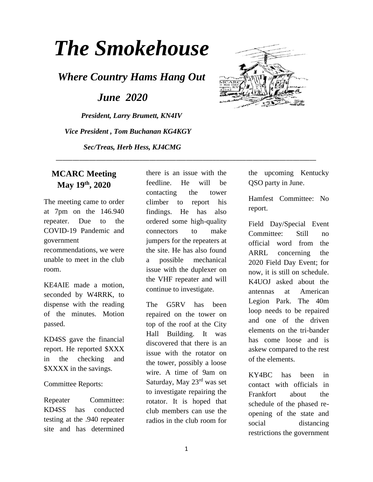# *The Smokehouse*

*Where Country Hams Hang Out*

 *June 2020*

*President, Larry Brumett, KN4IV Vice President , Tom Buchanan KG4KGY Sec/Treas, Herb Hess, KJ4CMG*



The meeting came to order at 7pm on the 146.940 repeater. Due to the COVID-19 Pandemic and government recommendations, we were

unable to meet in the club room.

KE4AIE made a motion, seconded by W4RRK, to dispense with the reading of the minutes. Motion passed.

KD4SS gave the financial report. He reported \$XXX in the checking and \$XXXX in the savings.

#### Committee Reports:

Repeater Committee: KD4SS has conducted testing at the .940 repeater site and has determined

there is an issue with the feedline. He will be contacting the tower climber to report his findings. He has also ordered some high-quality connectors to make jumpers for the repeaters at the site. He has also found a possible mechanical issue with the duplexer on the VHF repeater and will continue to investigate.

\_\_\_\_\_\_\_\_\_\_\_\_\_\_\_\_\_\_\_\_\_\_\_\_\_\_\_\_\_\_\_\_\_\_\_\_\_\_\_\_\_\_\_\_\_\_\_\_\_\_\_\_\_\_\_\_\_\_\_\_\_\_\_\_\_\_\_\_\_\_\_\_\_\_\_\_\_\_

The G5RV has been repaired on the tower on top of the roof at the City Hall Building. It was discovered that there is an issue with the rotator on the tower, possibly a loose wire. A time of 9am on Saturday, May 23<sup>rd</sup> was set to investigate repairing the rotator. It is hoped that club members can use the radios in the club room for



the upcoming Kentucky QSO party in June.

Hamfest Committee: No report.

Field Day/Special Event Committee: Still no official word from the ARRL concerning the 2020 Field Day Event; for now, it is still on schedule. K4UOJ asked about the antennas at American Legion Park. The 40m loop needs to be repaired and one of the driven elements on the tri-bander has come loose and is askew compared to the rest of the elements.

KY4BC has been in contact with officials in Frankfort about the schedule of the phased reopening of the state and social distancing restrictions the government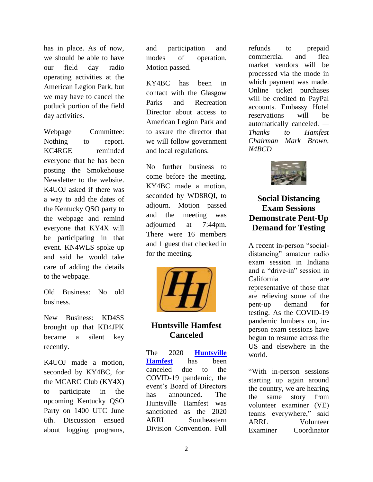has in place. As of now, we should be able to have our field day radio operating activities at the American Legion Park, but we may have to cancel the potluck portion of the field day activities.

Webpage Committee: Nothing to report. KC4RGE reminded everyone that he has been posting the Smokehouse Newsletter to the website. K4UOJ asked if there was a way to add the dates of the Kentucky QSO party to the webpage and remind everyone that KY4X will be participating in that event. KN4WLS spoke up and said he would take care of adding the details to the webpage.

Old Business: No old business.

New Business: KD4SS brought up that KD4JPK became a silent key recently.

K4UOJ made a motion, seconded by KY4BC, for the MCARC Club (KY4X) to participate in the upcoming Kentucky QSO Party on 1400 UTC June 6th. Discussion ensued about logging programs, and participation and modes of operation. Motion passed.

KY4BC has been in contact with the Glasgow Parks and Recreation Director about access to American Legion Park and to assure the director that we will follow government and local regulations.

No further business to come before the meeting. KY4BC made a motion, seconded by WD8RQI, to adjourn. Motion passed and the meeting was adjourned at 7:44pm. There were 16 members and 1 guest that checked in for the meeting.



#### **Huntsville Hamfest Canceled**

The 2020 **[Huntsville](https://hamfest.org/)  [Hamfest](https://hamfest.org/)** has been canceled due to the COVID-19 pandemic, the event's Board of Directors has announced. The Huntsville Hamfest was sanctioned as the 2020 ARRL Southeastern Division Convention. Full refunds to prepaid commercial and flea market vendors will be processed via the mode in which payment was made. Online ticket purchases will be credited to PayPal accounts. Embassy Hotel reservations will be automatically canceled. *— Thanks to Hamfest Chairman Mark Brown, N4BCD*



### **Social Distancing Exam Sessions Demonstrate Pent-Up Demand for Testing**

A recent in-person "socialdistancing" amateur radio exam session in Indiana and a "drive-in" session in California are representative of those that are relieving some of the pent-up demand for testing. As the COVID-19 pandemic lumbers on, inperson exam sessions have begun to resume across the US and elsewhere in the world.

"With in-person sessions starting up again around the country, we are hearing the same story from volunteer examiner (VE) teams everywhere," said ARRL Volunteer Examiner Coordinator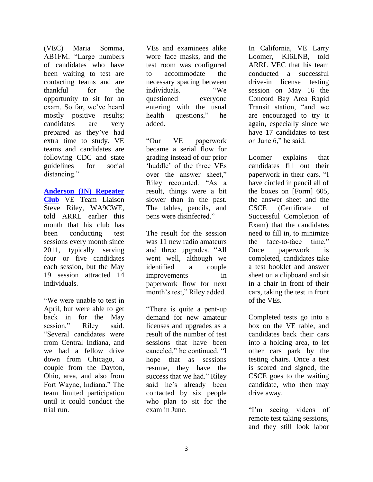(VEC) Maria Somma, AB1FM. "Large numbers of candidates who have been waiting to test are contacting teams and are thankful for the opportunity to sit for an exam. So far, we've heard mostly positive results; candidates are very prepared as they've had extra time to study. VE teams and candidates are following CDC and state guidelines for social distancing."

#### **[Anderson \(IN\) Repeater](http://www.andersonrepeaterclub.org/)**

**[Club](http://www.andersonrepeaterclub.org/)** VE Team Liaison Steve Riley, WA9CWE, told ARRL earlier this month that his club has been conducting test sessions every month since 2011, typically serving four or five candidates each session, but the May 19 session attracted 14 individuals.

"We were unable to test in April, but were able to get back in for the May session," Riley said. "Several candidates were from Central Indiana, and we had a fellow drive down from Chicago, a couple from the Dayton, Ohio, area, and also from Fort Wayne, Indiana." The team limited participation until it could conduct the trial run.

VEs and examinees alike wore face masks, and the test room was configured to accommodate the necessary spacing between individuals. "We questioned everyone entering with the usual health questions," he added.

"Our VE paperwork became a serial flow for grading instead of our prior 'huddle' of the three VEs over the answer sheet," Riley recounted. "As a result, things were a bit slower than in the past. The tables, pencils, and pens were disinfected."

The result for the session was 11 new radio amateurs and three upgrades. "All went well, although we identified a couple improvements in paperwork flow for next month's test," Riley added.

"There is quite a pent-up demand for new amateur licenses and upgrades as a result of the number of test sessions that have been canceled," he continued. "I hope that as sessions resume, they have the success that we had." Riley said he's already been contacted by six people who plan to sit for the exam in June.

In California, VE Larry Loomer, KI6LNB, told ARRL VEC that his team conducted a successful drive-in license testing session on May 16 the Concord Bay Area Rapid Transit station, "and we are encouraged to try it again, especially since we have 17 candidates to test on June 6," he said.

Loomer explains that candidates fill out their paperwork in their cars. "I have circled in pencil all of the boxes on [Form] 605, the answer sheet and the CSCE (Certificate of Successful Completion of Exam) that the candidates need to fill in, to minimize the face-to-face time." Once paperwork is completed, candidates take a test booklet and answer sheet on a clipboard and sit in a chair in front of their cars, taking the test in front of the VEs.

Completed tests go into a box on the VE table, and candidates back their cars into a holding area, to let other cars park by the testing chairs. Once a test is scored and signed, the CSCE goes to the waiting candidate, who then may drive away.

"I'm seeing videos of remote test taking sessions, and they still look labor